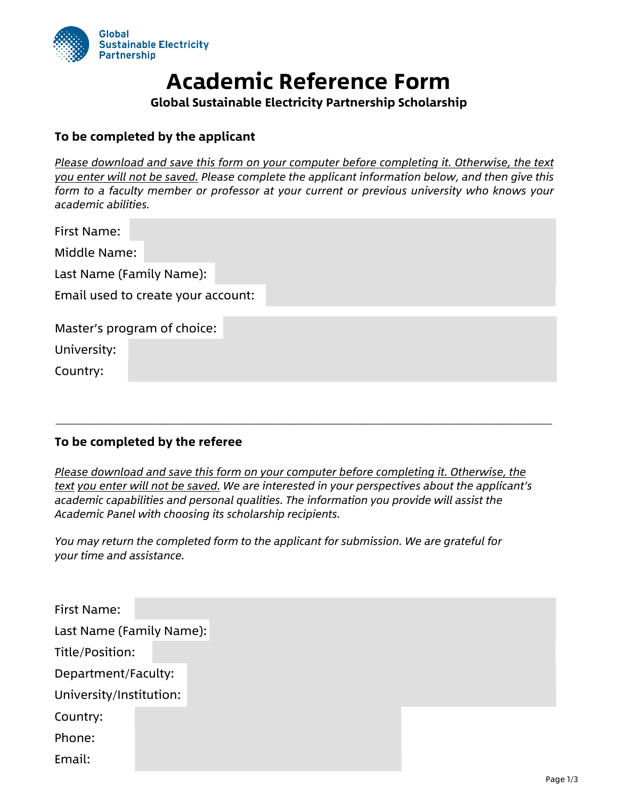

## **Academic Reference Form**

**Global Sustainable Electricity Partnership Scholarship**

## **To be completed by the applicant**

*Please download and save this form on your computer before completing it. Otherwise, the text you enter will not be saved. Please complete the applicant information below, and then give this form to a faculty member or professor at your current or previous university who knows your academic abilities.* 

| First Name:                        |                             |  |  |  |  |  |  |
|------------------------------------|-----------------------------|--|--|--|--|--|--|
| Middle Name:                       |                             |  |  |  |  |  |  |
| Last Name (Family Name):           |                             |  |  |  |  |  |  |
| Email used to create your account: |                             |  |  |  |  |  |  |
|                                    |                             |  |  |  |  |  |  |
|                                    | Master's program of choice: |  |  |  |  |  |  |
| University:                        |                             |  |  |  |  |  |  |
| Country:                           |                             |  |  |  |  |  |  |

## **To be completed by the referee**

*Please download and save this form on your computer before completing it. Otherwise, the text you enter will not be saved. We are interested in your perspectives about the applicant's academic capabilities and personal qualities. The information you provide will assist the Academic Panel with choosing its scholarship recipients.* 

\_\_\_\_\_\_\_\_\_\_\_\_\_\_\_\_\_\_\_\_\_\_\_\_\_\_\_\_\_\_\_\_\_\_\_\_\_\_\_\_\_\_\_\_\_\_\_\_\_\_\_\_\_\_\_\_\_\_\_\_\_\_\_\_\_\_\_\_\_\_\_\_\_\_\_\_\_\_\_\_\_\_

*You may return the completed form to the applicant for submission. We are grateful for your time and assistance.* 

| First Name:              |  |  |  |  |
|--------------------------|--|--|--|--|
| Last Name (Family Name): |  |  |  |  |
| Title/Position:          |  |  |  |  |
| Department/Faculty:      |  |  |  |  |
| University/Institution:  |  |  |  |  |
| Country:                 |  |  |  |  |
| Phone:                   |  |  |  |  |
| Email:                   |  |  |  |  |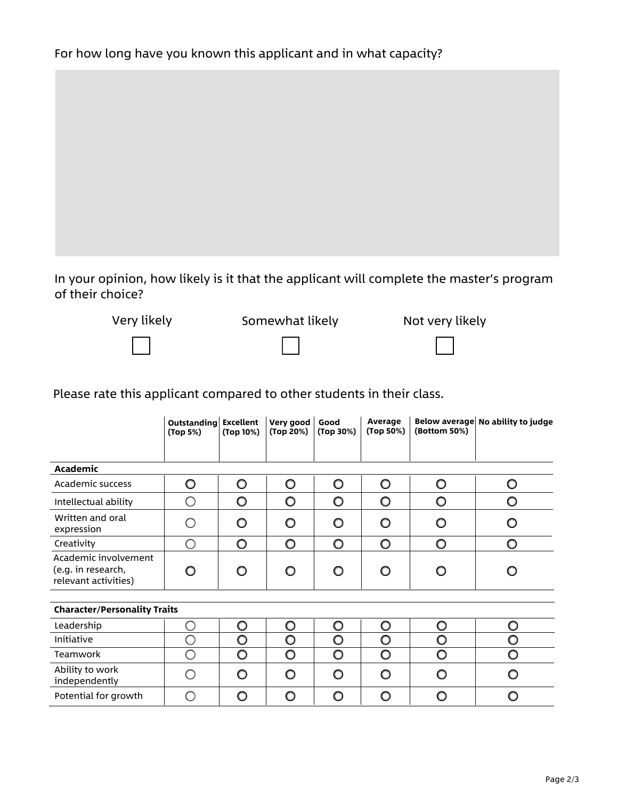In your opinion, how likely is it that the applicant will complete the master's program of their choice?



## Please rate this applicant compared to other students in their class.

|                                                                    | <b>Outstanding Excellent</b><br>(Top 5%) | (Top 10%) | Very good<br>(Top 20%) | Good<br>(Top 30%) | Average<br>(Top 50%) | (Bottom 50%) | Below average No ability to judge |  |  |
|--------------------------------------------------------------------|------------------------------------------|-----------|------------------------|-------------------|----------------------|--------------|-----------------------------------|--|--|
| Academic                                                           |                                          |           |                        |                   |                      |              |                                   |  |  |
| Academic success                                                   | $\circ$                                  | $\circ$   | O                      | $\circ$           | O                    | O            | O                                 |  |  |
| Intellectual ability                                               | $\bigcirc$                               | O         | O                      | O                 | O                    | O            | O                                 |  |  |
| Written and oral<br>expression                                     | ∩                                        | O         | O                      | O                 | O                    | O            | O                                 |  |  |
| Creativity                                                         | ∩                                        | O         | $\circ$                | O                 | $\circ$              | O            | O                                 |  |  |
| Academic involvement<br>(e.g. in research,<br>relevant activities) | O                                        | O         | O                      | O                 | O                    | ∩            | O                                 |  |  |
|                                                                    |                                          |           |                        |                   |                      |              |                                   |  |  |
| <b>Character/Personality Traits</b>                                |                                          |           |                        |                   |                      |              |                                   |  |  |
| Leadership                                                         | ∩                                        | O         | $\circ$                | $\circ$           | O                    | O            | O                                 |  |  |
| Initiative                                                         | ∩                                        | O         | O                      | $\circ$           | O                    | O            | O                                 |  |  |
| Teamwork                                                           | ∩                                        | $\circ$   | $\circ$                | O                 | $\circ$              | O            | O                                 |  |  |
| Ability to work<br>independently                                   | ∩                                        | O         | O                      | O                 | O                    | O            | O                                 |  |  |
| Potential for growth                                               | ∩                                        | O         | O                      | O                 | O                    | O            | O                                 |  |  |